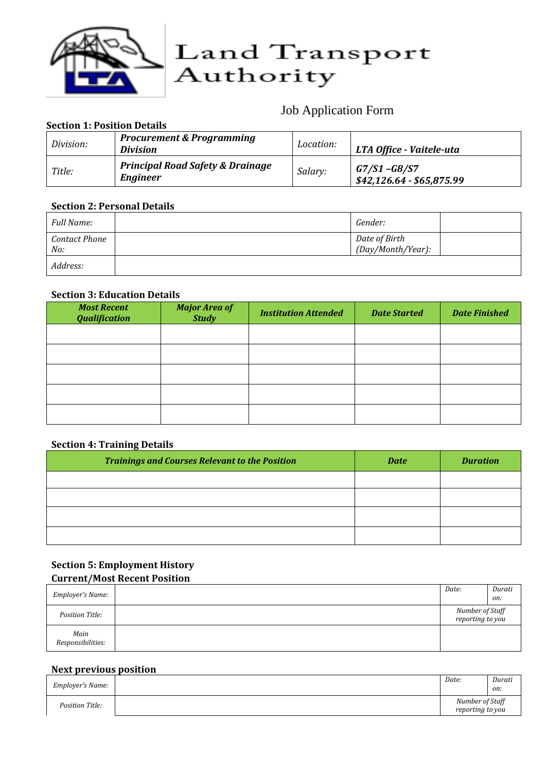

# Land Transport<br>Authority

# Job Application Form

# **Section 1: Position Details**

| Division: | <b>Procurement &amp; Programming</b><br><i>Division</i>        | Location: | LTA Office - Vaitele-uta                         |  |
|-----------|----------------------------------------------------------------|-----------|--------------------------------------------------|--|
| Title:    | <b>Principal Road Safety &amp; Drainage</b><br><b>Engineer</b> | Salary:   | $G7/S1 - G8/S7$<br>$$42,126.64 \cdot $65,875.99$ |  |

# **Section 2: Personal Details**

| Full Name:           | Gender:                            |  |
|----------------------|------------------------------------|--|
| Contact Phone<br>No: | Date of Birth<br>(Day/Month/Year): |  |
| Address:             |                                    |  |

# **Section 3: Education Details**

| <b>Most Recent</b><br><b>Qualification</b> | <b>Major Area of</b><br><b>Study</b> | <b>Institution Attended</b> | <b>Date Started</b> | <b>Date Finished</b> |
|--------------------------------------------|--------------------------------------|-----------------------------|---------------------|----------------------|
|                                            |                                      |                             |                     |                      |
|                                            |                                      |                             |                     |                      |
|                                            |                                      |                             |                     |                      |
|                                            |                                      |                             |                     |                      |
|                                            |                                      |                             |                     |                      |

# **Section 4: Training Details**

| <b>Trainings and Courses Relevant to the Position</b> | <b>Date</b> | <b>Duration</b> |
|-------------------------------------------------------|-------------|-----------------|
|                                                       |             |                 |
|                                                       |             |                 |
|                                                       |             |                 |
|                                                       |             |                 |

# **Section 5: Employment History Current/Most Recent Position**

|                           | Date:                               | Durati |
|---------------------------|-------------------------------------|--------|
| <b>Employer's Name:</b>   |                                     | on:    |
| Position Title:           | Number of Staff<br>reporting to you |        |
| Main<br>Responsibilities: |                                     |        |

# **Next previous position**

| Employer's Name: | Date:                               | Durati<br>on: |
|------------------|-------------------------------------|---------------|
| Position Title:  | Number of Staff<br>reporting to you |               |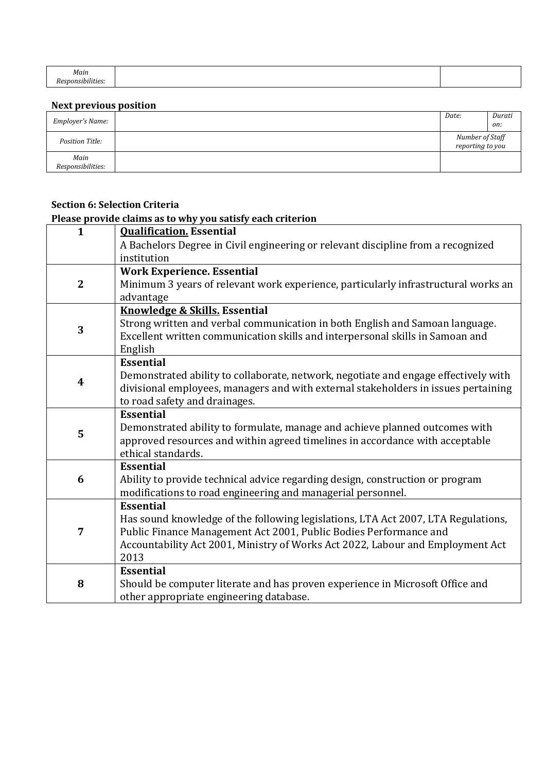| Main                         |  |
|------------------------------|--|
| Responsibilities:<br>.<br>__ |  |

# **Next previous position**

| Employer's Name:          | Date:                               | Durati<br>on: |
|---------------------------|-------------------------------------|---------------|
| Position Title:           | Number of Staff<br>reporting to you |               |
| Main<br>Responsibilities: |                                     |               |

# **Section 6: Selection Criteria**

# **Please provide claims as to why you satisfy each criterion**

| $\mathbf{1}$   | <b>Qualification. Essential</b>                                                                    |
|----------------|----------------------------------------------------------------------------------------------------|
|                | A Bachelors Degree in Civil engineering or relevant discipline from a recognized                   |
|                | institution                                                                                        |
|                | <b>Work Experience. Essential</b>                                                                  |
| $\overline{2}$ | Minimum 3 years of relevant work experience, particularly infrastructural works an                 |
|                | advantage                                                                                          |
|                | <b>Knowledge &amp; Skills. Essential</b>                                                           |
| 3              | Strong written and verbal communication in both English and Samoan language.                       |
|                | Excellent written communication skills and interpersonal skills in Samoan and                      |
|                | English                                                                                            |
|                | <b>Essential</b>                                                                                   |
| 4              | Demonstrated ability to collaborate, network, negotiate and engage effectively with                |
|                | divisional employees, managers and with external stakeholders in issues pertaining                 |
|                | to road safety and drainages.                                                                      |
|                | <b>Essential</b>                                                                                   |
| 5              | Demonstrated ability to formulate, manage and achieve planned outcomes with                        |
|                | approved resources and within agreed timelines in accordance with acceptable<br>ethical standards. |
|                | <b>Essential</b>                                                                                   |
| 6              | Ability to provide technical advice regarding design, construction or program                      |
|                | modifications to road engineering and managerial personnel.                                        |
|                | <b>Essential</b>                                                                                   |
|                | Has sound knowledge of the following legislations, LTA Act 2007, LTA Regulations,                  |
| $\overline{7}$ | Public Finance Management Act 2001, Public Bodies Performance and                                  |
|                | Accountability Act 2001, Ministry of Works Act 2022, Labour and Employment Act                     |
|                | 2013                                                                                               |
|                | <b>Essential</b>                                                                                   |
| 8              | Should be computer literate and has proven experience in Microsoft Office and                      |
|                | other appropriate engineering database.                                                            |